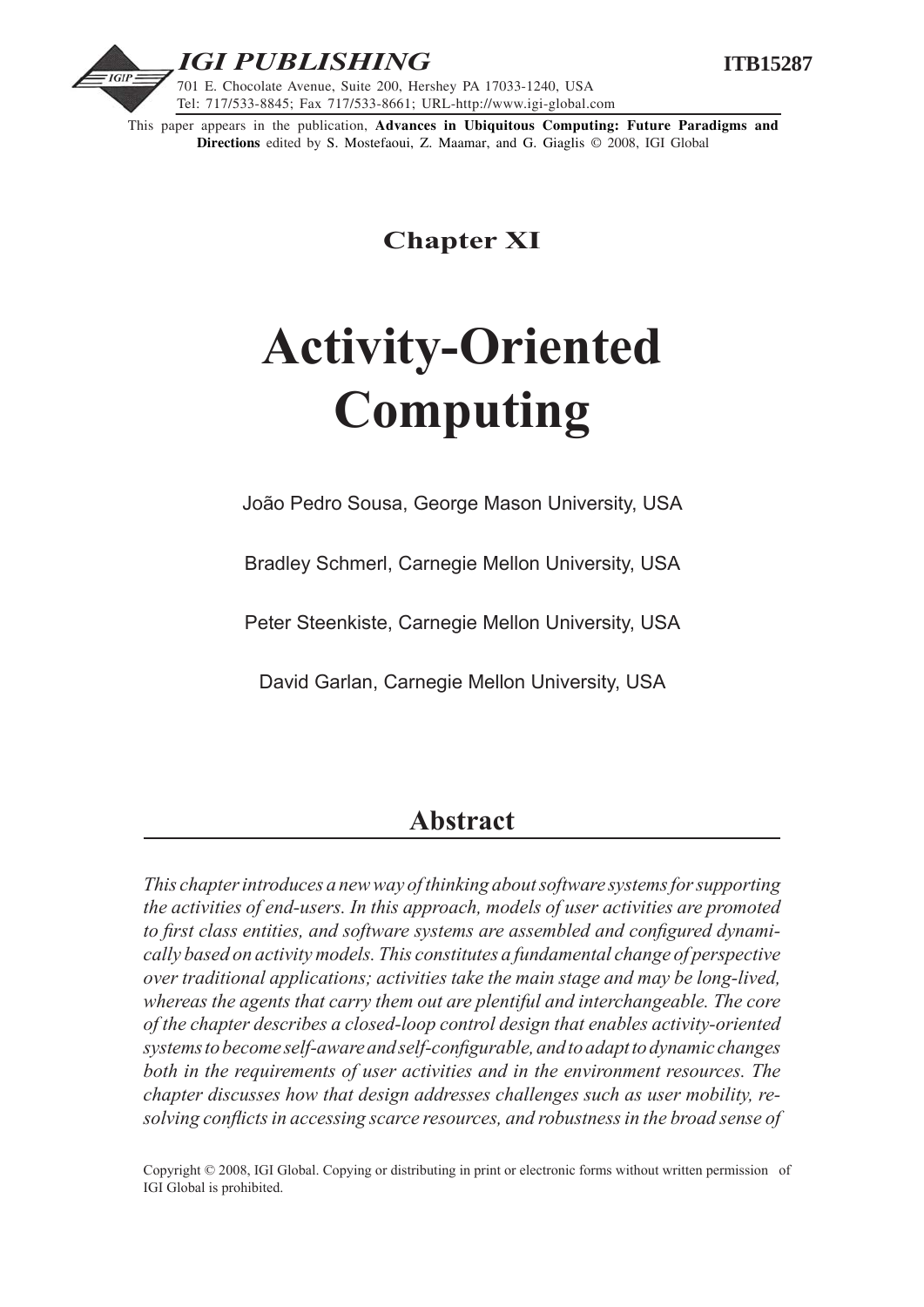

This paper appears in the publication, **Advances in Ubiquitous Computing: Future Paradigms and Directions** edited by S. Mostefaoui, Z. Maamar, and G. Giaglis © 2008, IGI Global

**Chapter XI**

# **Activity-Oriented Computing**

João Pedro Sousa, George Mason University, USA

Bradley Schmerl, Carnegie Mellon University, USA

Peter Steenkiste, Carnegie Mellon University, USA

David Garlan, Carnegie Mellon University, USA

# **Abstract**

*This chapter introduces a new way of thinking about software systems for supporting the activities of end-users. In this approach, models of user activities are promoted to first class entities, and software systems are assembled and configured dynamically based on activity models. This constitutes a fundamental change of perspective over traditional applications; activities take the main stage and may be long-lived, whereas the agents that carry them out are plentiful and interchangeable. The core of the chapter describes a closed-loop control design that enables activity-oriented systems to become self-aware and self-configurable, and to adapt to dynamic changes both in the requirements of user activities and in the environment resources. The chapter discusses how that design addresses challenges such as user mobility, resolving conflicts in accessing scarce resources, and robustness in the broad sense of* 

Copyright © 2008, IGI Global. Copying or distributing in print or electronic forms without written permission of IGI Global is prohibited.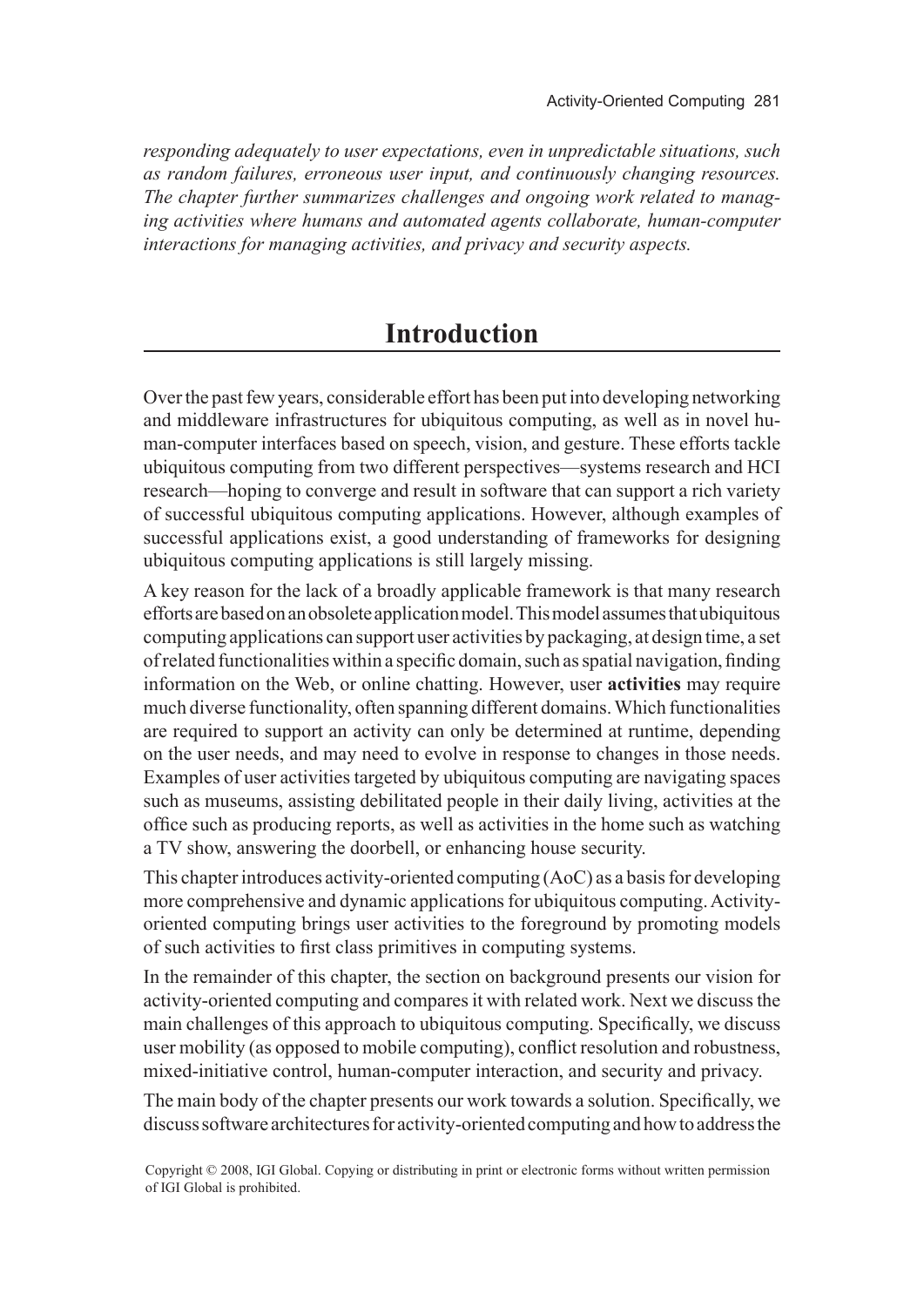*responding adequately to user expectations, even in unpredictable situations, such as random failures, erroneous user input, and continuously changing resources. The chapter further summarizes challenges and ongoing work related to managing activities where humans and automated agents collaborate, human-computer interactions for managing activities, and privacy and security aspects.*

# **Introduction**

Over the past few years, considerable effort has been put into developing networking and middleware infrastructures for ubiquitous computing, as well as in novel human-computer interfaces based on speech, vision, and gesture. These efforts tackle ubiquitous computing from two different perspectives—systems research and HCI research—hoping to converge and result in software that can support a rich variety of successful ubiquitous computing applications. However, although examples of successful applications exist, a good understanding of frameworks for designing ubiquitous computing applications is still largely missing.

A key reason for the lack of a broadly applicable framework is that many research efforts are based on an obsolete application model. This model assumes that ubiquitous computing applications can support user activities by packaging, at design time, a set of related functionalities within a specific domain, such as spatial navigation, finding information on the Web, or online chatting. However, user **activities** may require much diverse functionality, often spanning different domains. Which functionalities are required to support an activity can only be determined at runtime, depending on the user needs, and may need to evolve in response to changes in those needs. Examples of user activities targeted by ubiquitous computing are navigating spaces such as museums, assisting debilitated people in their daily living, activities at the office such as producing reports, as well as activities in the home such as watching a TV show, answering the doorbell, or enhancing house security.

This chapter introduces activity-oriented computing (AoC) as a basis for developing more comprehensive and dynamic applications for ubiquitous computing. Activityoriented computing brings user activities to the foreground by promoting models of such activities to first class primitives in computing systems.

In the remainder of this chapter, the section on background presents our vision for activity-oriented computing and compares it with related work. Next we discuss the main challenges of this approach to ubiquitous computing. Specifically, we discuss user mobility (as opposed to mobile computing), conflict resolution and robustness, mixed-initiative control, human-computer interaction, and security and privacy.

The main body of the chapter presents our work towards a solution. Specifically, we discuss software architectures for activity-oriented computing and how to address the

Copyright © 2008, IGI Global. Copying or distributing in print or electronic forms without written permission of IGI Global is prohibited.